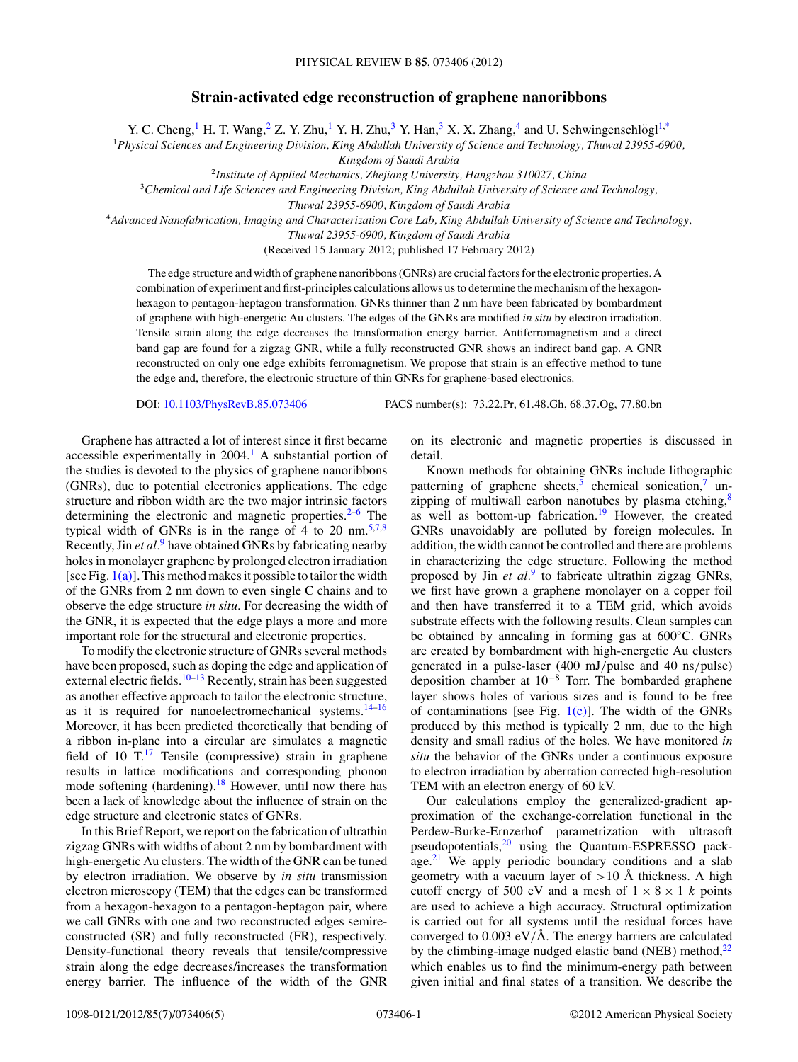## **Strain-activated edge reconstruction of graphene nanoribbons**

Y. C. Cheng,<sup>1</sup> H. T. Wang,<sup>2</sup> Z. Y. Zhu,<sup>1</sup> Y. H. Zhu,<sup>3</sup> Y. Han,<sup>3</sup> X. X. Zhang,<sup>4</sup> and U. Schwingenschlögl<sup>1[,\\*](#page-3-0)</sup>

<sup>1</sup>*Physical Sciences and Engineering Division, King Abdullah University of Science and Technology, Thuwal 23955-6900,*

*Kingdom of Saudi Arabia*

<sup>2</sup>*Institute of Applied Mechanics, Zhejiang University, Hangzhou 310027, China*

<sup>3</sup>*Chemical and Life Sciences and Engineering Division, King Abdullah University of Science and Technology,*

*Thuwal 23955-6900, Kingdom of Saudi Arabia*

<sup>4</sup>*Advanced Nanofabrication, Imaging and Characterization Core Lab, King Abdullah University of Science and Technology,*

*Thuwal 23955-6900, Kingdom of Saudi Arabia*

(Received 15 January 2012; published 17 February 2012)

The edge structure and width of graphene nanoribbons (GNRs) are crucial factors for the electronic properties. A combination of experiment and first-principles calculations allows us to determine the mechanism of the hexagonhexagon to pentagon-heptagon transformation. GNRs thinner than 2 nm have been fabricated by bombardment of graphene with high-energetic Au clusters. The edges of the GNRs are modified *in situ* by electron irradiation. Tensile strain along the edge decreases the transformation energy barrier. Antiferromagnetism and a direct band gap are found for a zigzag GNR, while a fully reconstructed GNR shows an indirect band gap. A GNR reconstructed on only one edge exhibits ferromagnetism. We propose that strain is an effective method to tune the edge and, therefore, the electronic structure of thin GNRs for graphene-based electronics.

DOI: [10.1103/PhysRevB.85.073406](http://dx.doi.org/10.1103/PhysRevB.85.073406) PACS number(s): 73*.*22*.*Pr, 61*.*48*.*Gh, 68*.*37*.*Og, 77*.*80*.*bn

Graphene has attracted a lot of interest since it first became accessible experimentally in  $2004<sup>1</sup>$  A substantial portion of the studies is devoted to the physics of graphene nanoribbons (GNRs), due to potential electronics applications. The edge structure and ribbon width are the two major intrinsic factors determining the electronic and magnetic properties. $2-6$  The typical width of GNRs is in the range of  $4$  to 20 nm.<sup>[5,7,8](#page-3-0)</sup> Recently, Jin *et al.*[9](#page-3-0) have obtained GNRs by fabricating nearby holes in monolayer graphene by prolonged electron irradiation [see Fig.  $1(a)$ ]. This method makes it possible to tailor the width of the GNRs from 2 nm down to even single C chains and to observe the edge structure *in situ*. For decreasing the width of the GNR, it is expected that the edge plays a more and more important role for the structural and electronic properties.

To modify the electronic structure of GNRs several methods have been proposed, such as doping the edge and application of external electric fields.<sup>[10–13](#page-3-0)</sup> Recently, strain has been suggested as another effective approach to tailor the electronic structure, as it is required for nanoelectromechanical systems. $14-16$ Moreover, it has been predicted theoretically that bending of a ribbon in-plane into a circular arc simulates a magnetic field of 10  $T<sup>17</sup>$  Tensile (compressive) strain in graphene results in lattice modifications and corresponding phonon mode softening (hardening).<sup>[18](#page-3-0)</sup> However, until now there has been a lack of knowledge about the influence of strain on the edge structure and electronic states of GNRs.

In this Brief Report, we report on the fabrication of ultrathin zigzag GNRs with widths of about 2 nm by bombardment with high-energetic Au clusters. The width of the GNR can be tuned by electron irradiation. We observe by *in situ* transmission electron microscopy (TEM) that the edges can be transformed from a hexagon-hexagon to a pentagon-heptagon pair, where we call GNRs with one and two reconstructed edges semireconstructed (SR) and fully reconstructed (FR), respectively. Density-functional theory reveals that tensile/compressive strain along the edge decreases/increases the transformation energy barrier. The influence of the width of the GNR on its electronic and magnetic properties is discussed in detail.

Known methods for obtaining GNRs include lithographic patterning of graphene sheets,<sup>5</sup> chemical sonication,<sup>7</sup> unzipping of multiwall carbon nanotubes by plasma etching, $\frac{8}{3}$ as well as bottom-up fabrication.<sup>[19](#page-3-0)</sup> However, the created GNRs unavoidably are polluted by foreign molecules. In addition, the width cannot be controlled and there are problems in characterizing the edge structure. Following the method proposed by Jin *et al.*[9](#page-3-0) to fabricate ultrathin zigzag GNRs, we first have grown a graphene monolayer on a copper foil and then have transferred it to a TEM grid, which avoids substrate effects with the following results. Clean samples can be obtained by annealing in forming gas at 600◦C. GNRs are created by bombardment with high-energetic Au clusters generated in a pulse-laser (400 mJ*/*pulse and 40 ns*/*pulse) deposition chamber at 10−<sup>8</sup> Torr. The bombarded graphene layer shows holes of various sizes and is found to be free of contaminations [see Fig.  $1(c)$ ]. The width of the GNRs produced by this method is typically 2 nm, due to the high density and small radius of the holes. We have monitored *in situ* the behavior of the GNRs under a continuous exposure to electron irradiation by aberration corrected high-resolution TEM with an electron energy of 60 kV.

Our calculations employ the generalized-gradient approximation of the exchange-correlation functional in the Perdew-Burke-Ernzerhof parametrization with ultrasoft pseudopotentials,<sup>[20](#page-4-0)</sup> using the Quantum-ESPRESSO package. $21$  We apply periodic boundary conditions and a slab geometry with a vacuum layer of  $>10$  Å thickness. A high cutoff energy of 500 eV and a mesh of  $1 \times 8 \times 1$  *k* points are used to achieve a high accuracy. Structural optimization is carried out for all systems until the residual forces have converged to  $0.003 \text{ eV/A}$ . The energy barriers are calculated by the climbing-image nudged elastic band (NEB) method, $^{22}$  $^{22}$  $^{22}$ which enables us to find the minimum-energy path between given initial and final states of a transition. We describe the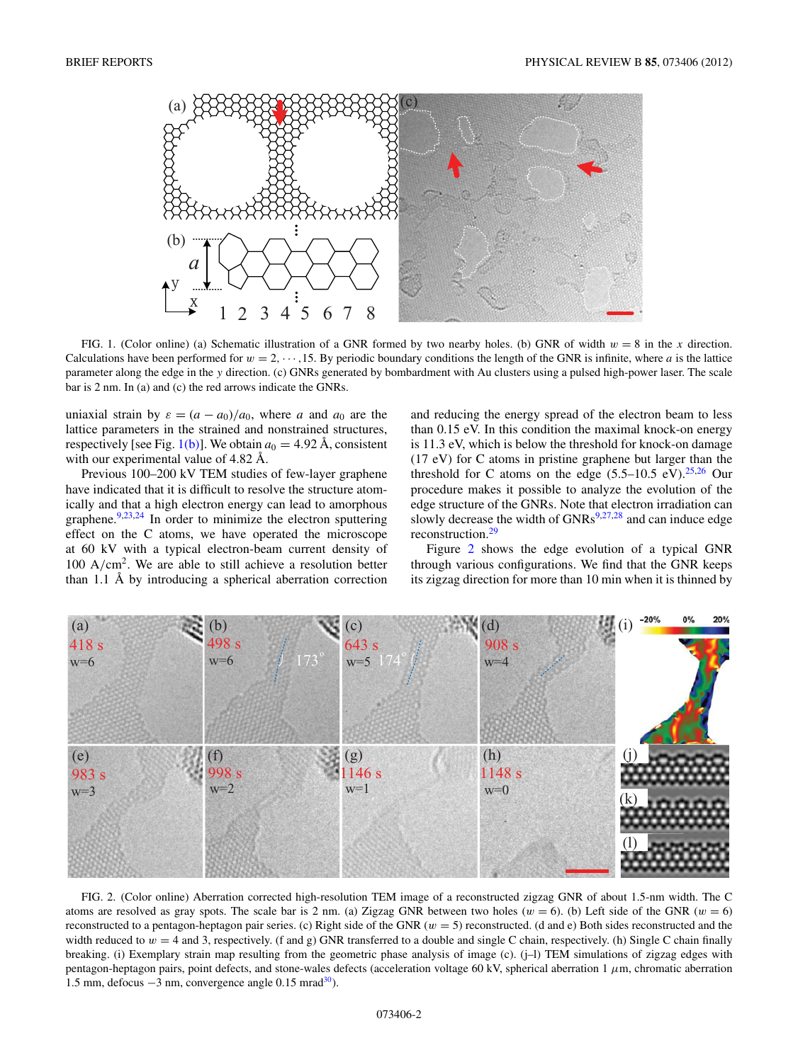<span id="page-1-0"></span>

FIG. 1. (Color online) (a) Schematic illustration of a GNR formed by two nearby holes. (b) GNR of width *w* = 8 in the *x* direction. Calculations have been performed for  $w = 2, \dots, 15$ . By periodic boundary conditions the length of the GNR is infinite, where *a* is the lattice parameter along the edge in the *y* direction. (c) GNRs generated by bombardment with Au clusters using a pulsed high-power laser. The scale bar is 2 nm. In (a) and (c) the red arrows indicate the GNRs.

uniaxial strain by  $\varepsilon = (a - a_0)/a_0$ , where *a* and  $a_0$  are the lattice parameters in the strained and nonstrained structures, respectively [see Fig.  $1(b)$ ]. We obtain  $a_0 = 4.92$  Å, consistent with our experimental value of  $4.82 \text{ Å}$ .

Previous 100–200 kV TEM studies of few-layer graphene have indicated that it is difficult to resolve the structure atomically and that a high electron energy can lead to amorphous graphene. $9,23,24$  $9,23,24$  In order to minimize the electron sputtering effect on the C atoms, we have operated the microscope at 60 kV with a typical electron-beam current density of 100 A*/*cm2. We are able to still achieve a resolution better than 1.1  $\AA$  by introducing a spherical aberration correction and reducing the energy spread of the electron beam to less than 0.15 eV. In this condition the maximal knock-on energy is 11.3 eV, which is below the threshold for knock-on damage (17 eV) for C atoms in pristine graphene but larger than the threshold for C atoms on the edge  $(5.5-10.5 \text{ eV})^{25,26}$  $(5.5-10.5 \text{ eV})^{25,26}$  $(5.5-10.5 \text{ eV})^{25,26}$  Our procedure makes it possible to analyze the evolution of the edge structure of the GNRs. Note that electron irradiation can slowly decrease the width of  $GNRs^{9,27,28}$  $GNRs^{9,27,28}$  $GNRs^{9,27,28}$  and can induce edge reconstruction.<sup>29</sup>

Figure 2 shows the edge evolution of a typical GNR through various configurations. We find that the GNR keeps its zigzag direction for more than 10 min when it is thinned by



FIG. 2. (Color online) Aberration corrected high-resolution TEM image of a reconstructed zigzag GNR of about 1.5-nm width. The C atoms are resolved as gray spots. The scale bar is 2 nm. (a) Zigzag GNR between two holes ( $w = 6$ ). (b) Left side of the GNR ( $w = 6$ ) reconstructed to a pentagon-heptagon pair series. (c) Right side of the GNR (*w* = 5) reconstructed. (d and e) Both sides reconstructed and the width reduced to  $w = 4$  and 3, respectively. (f and g) GNR transferred to a double and single C chain, respectively. (h) Single C chain finally breaking. (i) Exemplary strain map resulting from the geometric phase analysis of image (c). (j–l) TEM simulations of zigzag edges with pentagon-heptagon pairs, point defects, and stone-wales defects (acceleration voltage 60 kV, spherical aberration 1 *μ*m, chromatic aberration 1.5 mm, defocus −3 nm, convergence angle 0.15 mra[d30\)](#page-4-0).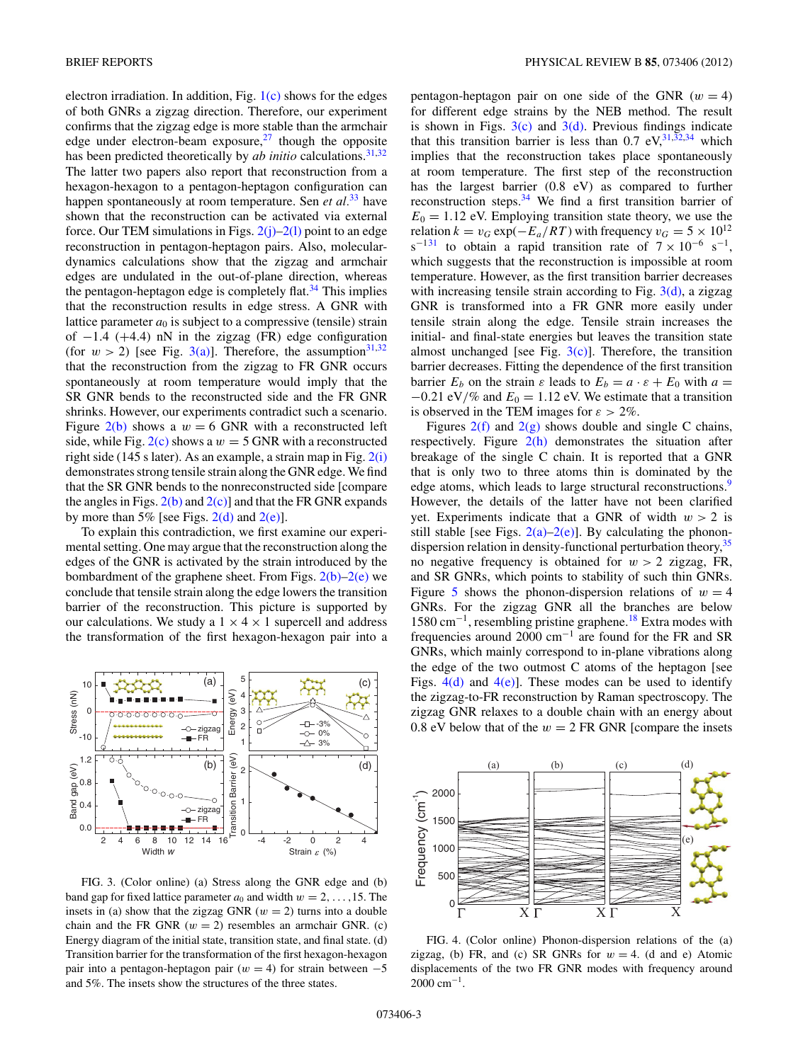<span id="page-2-0"></span>electron irradiation. In addition, Fig.  $1(c)$  shows for the edges of both GNRs a zigzag direction. Therefore, our experiment confirms that the zigzag edge is more stable than the armchair edge under electron-beam exposure, $27$  though the opposite has been predicted theoretically by *ab initio* calculations.<sup>31,32</sup> The latter two papers also report that reconstruction from a hexagon-hexagon to a pentagon-heptagon configuration can happen spontaneously at room temperature. Sen *et al.*[33](#page-4-0) have shown that the reconstruction can be activated via external force. Our TEM simulations in Figs.  $2(j)$ –2(1) point to an edge reconstruction in pentagon-heptagon pairs. Also, moleculardynamics calculations show that the zigzag and armchair edges are undulated in the out-of-plane direction, whereas the pentagon-heptagon edge is completely flat. $34$  This implies that the reconstruction results in edge stress. A GNR with lattice parameter  $a_0$  is subject to a compressive (tensile) strain of −1*.*4 (+4*.*4) nN in the zigzag (FR) edge configuration (for  $w > 2$ ) [see Fig. 3(a)]. Therefore, the assumption<sup>[31,32](#page-4-0)</sup> that the reconstruction from the zigzag to FR GNR occurs spontaneously at room temperature would imply that the SR GNR bends to the reconstructed side and the FR GNR shrinks. However, our experiments contradict such a scenario. Figure  $2(b)$  shows a  $w = 6$  GNR with a reconstructed left side, while Fig.  $2(c)$  shows a  $w = 5$  GNR with a reconstructed right side (145 s later). As an example, a strain map in Fig.  $2(i)$ demonstrates strong tensile strain along the GNR edge. We find that the SR GNR bends to the nonreconstructed side [compare the angles in Figs.  $2(b)$  and  $2(c)$ ] and that the FR GNR expands by more than 5% [see Figs.  $2(d)$  and  $2(e)$ ].

To explain this contradiction, we first examine our experimental setting. One may argue that the reconstruction along the edges of the GNR is activated by the strain introduced by the bombardment of the graphene sheet. From Figs.  $2(b)-2(e)$  we conclude that tensile strain along the edge lowers the transition barrier of the reconstruction. This picture is supported by our calculations. We study a  $1 \times 4 \times 1$  supercell and address the transformation of the first hexagon-hexagon pair into a



FIG. 3. (Color online) (a) Stress along the GNR edge and (b) band gap for fixed lattice parameter  $a_0$  and width  $w = 2, \ldots, 15$ . The insets in (a) show that the zigzag GNR ( $w = 2$ ) turns into a double chain and the FR GNR  $(w = 2)$  resembles an armchair GNR. (c) Energy diagram of the initial state, transition state, and final state. (d) Transition barrier for the transformation of the first hexagon-hexagon pair into a pentagon-heptagon pair  $(w = 4)$  for strain between  $-5$ and 5%. The insets show the structures of the three states.

pentagon-heptagon pair on one side of the GNR  $(w = 4)$ for different edge strains by the NEB method. The result is shown in Figs.  $3(c)$  and  $3(d)$ . Previous findings indicate that this transition barrier is less than 0.7 eV,  $31,32,34$  which implies that the reconstruction takes place spontaneously at room temperature. The first step of the reconstruction has the largest barrier (0.8 eV) as compared to further reconstruction steps.[34](#page-4-0) We find a first transition barrier of  $E_0 = 1.12$  eV. Employing transition state theory, we use the relation  $k = v_G \exp(-E_a/RT)$  with frequency  $v_G = 5 \times 10^{12}$ s<sup>-[131](#page-4-0)</sup> to obtain a rapid transition rate of  $7 \times 10^{-6}$  s<sup>-1</sup>, which suggests that the reconstruction is impossible at room temperature. However, as the first transition barrier decreases with increasing tensile strain according to Fig.  $3(d)$ , a zigzag GNR is transformed into a FR GNR more easily under tensile strain along the edge. Tensile strain increases the initial- and final-state energies but leaves the transition state almost unchanged [see Fig.  $3(c)$ ]. Therefore, the transition barrier decreases. Fitting the dependence of the first transition barrier  $E_b$  on the strain  $\varepsilon$  leads to  $E_b = a \cdot \varepsilon + E_0$  with  $a =$ −0*.*21 eV*/*% and *E*<sup>0</sup> = 1*.*12 eV. We estimate that a transition is observed in the TEM images for  $\varepsilon > 2\%$ .

Figures  $2(f)$  and  $2(g)$  shows double and single C chains, respectively. Figure  $2(h)$  demonstrates the situation after breakage of the single C chain. It is reported that a GNR that is only two to three atoms thin is dominated by the edge atoms, which leads to large structural reconstructions.<sup>9</sup> However, the details of the latter have not been clarified yet. Experiments indicate that a GNR of width  $w > 2$  is still stable [see Figs.  $2(a)-2(e)$ ]. By calculating the phonondispersion relation in density-functional perturbation theory,  $35$ no negative frequency is obtained for  $w > 2$  zigzag, FR, and SR GNRs, which points to stability of such thin GNRs. Figure [5](#page-3-0) shows the phonon-dispersion relations of  $w = 4$ GNRs. For the zigzag GNR all the branches are below 1580 cm−1, resembling pristine graphene[.18](#page-3-0) Extra modes with frequencies around 2000 cm−<sup>1</sup> are found for the FR and SR GNRs, which mainly correspond to in-plane vibrations along the edge of the two outmost C atoms of the heptagon [see Figs.  $4(d)$  and  $4(e)$ ]. These modes can be used to identify the zigzag-to-FR reconstruction by Raman spectroscopy. The zigzag GNR relaxes to a double chain with an energy about 0.8 eV below that of the  $w = 2$  FR GNR [compare the insets



FIG. 4. (Color online) Phonon-dispersion relations of the (a) zigzag, (b) FR, and (c) SR GNRs for  $w = 4$ . (d and e) Atomic displacements of the two FR GNR modes with frequency around 2000 cm<sup>-1</sup>.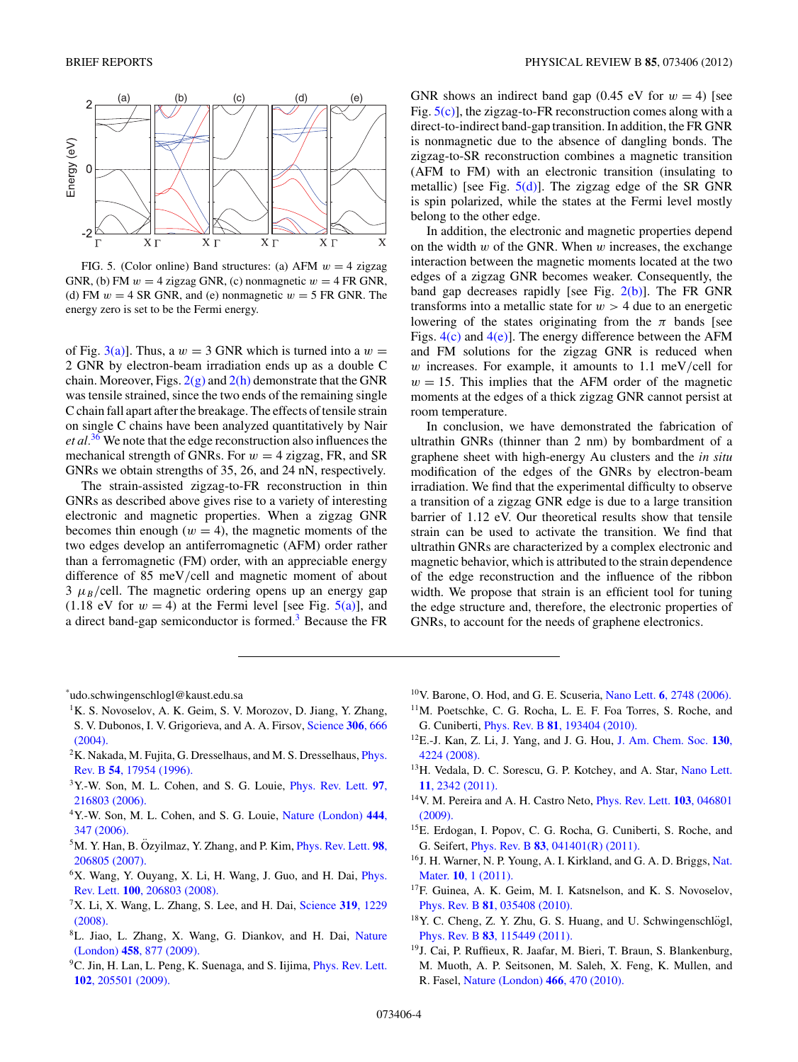<span id="page-3-0"></span>

FIG. 5. (Color online) Band structures: (a) AFM *w* = 4 zigzag GNR, (b) FM  $w = 4$  zigzag GNR, (c) nonmagnetic  $w = 4$  FR GNR, (d) FM  $w = 4$  SR GNR, and (e) nonmagnetic  $w = 5$  FR GNR. The energy zero is set to be the Fermi energy.

of Fig. [3\(a\)\]](#page-2-0). Thus, a  $w = 3$  GNR which is turned into a  $w =$ 2 GNR by electron-beam irradiation ends up as a double C chain. Moreover, Figs.  $2(g)$  and  $2(h)$  demonstrate that the GNR was tensile strained, since the two ends of the remaining single C chain fall apart after the breakage. The effects of tensile strain on single C chains have been analyzed quantitatively by Nair *et al.*[36](#page-4-0) We note that the edge reconstruction also influences the mechanical strength of GNRs. For  $w = 4$  zigzag, FR, and SR GNRs we obtain strengths of 35, 26, and 24 nN, respectively.

The strain-assisted zigzag-to-FR reconstruction in thin GNRs as described above gives rise to a variety of interesting electronic and magnetic properties. When a zigzag GNR becomes thin enough  $(w = 4)$ , the magnetic moments of the two edges develop an antiferromagnetic (AFM) order rather than a ferromagnetic (FM) order, with an appreciable energy difference of 85 meV*/*cell and magnetic moment of about  $3 \mu_B$ /cell. The magnetic ordering opens up an energy gap  $(1.18 \text{ eV}$  for  $w = 4)$  at the Fermi level [see Fig.  $5(a)$ ], and a direct band-gap semiconductor is formed.<sup>3</sup> Because the FR GNR shows an indirect band gap  $(0.45 \text{ eV} \text{ for } w = 4)$  [see Fig. 5(c)], the zigzag-to-FR reconstruction comes along with a direct-to-indirect band-gap transition. In addition, the FR GNR is nonmagnetic due to the absence of dangling bonds. The zigzag-to-SR reconstruction combines a magnetic transition (AFM to FM) with an electronic transition (insulating to metallic) [see Fig.  $5(d)$ ]. The zigzag edge of the SR GNR is spin polarized, while the states at the Fermi level mostly belong to the other edge.

In addition, the electronic and magnetic properties depend on the width *w* of the GNR. When *w* increases, the exchange interaction between the magnetic moments located at the two edges of a zigzag GNR becomes weaker. Consequently, the band gap decreases rapidly [see Fig. [2\(b\)\]](#page-1-0). The FR GNR transforms into a metallic state for  $w > 4$  due to an energetic lowering of the states originating from the  $\pi$  bands [see Figs.  $4(c)$  and  $4(e)$ ]. The energy difference between the AFM and FM solutions for the zigzag GNR is reduced when *w* increases. For example, it amounts to 1.1 meV*/*cell for  $w = 15$ . This implies that the AFM order of the magnetic moments at the edges of a thick zigzag GNR cannot persist at room temperature.

In conclusion, we have demonstrated the fabrication of ultrathin GNRs (thinner than 2 nm) by bombardment of a graphene sheet with high-energy Au clusters and the *in situ* modification of the edges of the GNRs by electron-beam irradiation. We find that the experimental difficulty to observe a transition of a zigzag GNR edge is due to a large transition barrier of 1.12 eV. Our theoretical results show that tensile strain can be used to activate the transition. We find that ultrathin GNRs are characterized by a complex electronic and magnetic behavior, which is attributed to the strain dependence of the edge reconstruction and the influence of the ribbon width. We propose that strain is an efficient tool for tuning the edge structure and, therefore, the electronic properties of GNRs, to account for the needs of graphene electronics.

\* udo.schwingenschlogl@kaust.edu.sa

- <sup>1</sup>K. S. Novoselov, A. K. Geim, S. V. Morozov, D. Jiang, Y. Zhang, S. V. Dubonos, I. V. Grigorieva, and A. A. Firsov, [Science](http://dx.doi.org/10.1126/science.1102896) **306**, 666
- [\(2004\).](http://dx.doi.org/10.1126/science.1102896) <sup>2</sup>K. Nakada, M. Fujita, G. Dresselhaus, and M. S. Dresselhaus, *[Phys.](http://dx.doi.org/10.1103/PhysRevB.54.17954)* Rev. B **54**[, 17954 \(1996\).](http://dx.doi.org/10.1103/PhysRevB.54.17954)
- 3Y.-W. Son, M. L. Cohen, and S. G. Louie, [Phys. Rev. Lett.](http://dx.doi.org/10.1103/PhysRevLett.97.216803) **97**, [216803 \(2006\).](http://dx.doi.org/10.1103/PhysRevLett.97.216803)
- 4Y.-W. Son, M. L. Cohen, and S. G. Louie, [Nature \(London\)](http://dx.doi.org/10.1038/nature05180) **444**, [347 \(2006\).](http://dx.doi.org/10.1038/nature05180)
- $5$ M. Y. Han, B. Ozyilmaz, Y. Zhang, and P. Kim, *[Phys. Rev. Lett.](http://dx.doi.org/10.1103/PhysRevLett.98.206805)* **98**, [206805 \(2007\).](http://dx.doi.org/10.1103/PhysRevLett.98.206805)
- <sup>6</sup>X. Wang, Y. Ouyang, X. Li, H. Wang, J. Guo, and H. Dai, *[Phys.](http://dx.doi.org/10.1103/PhysRevLett.100.206803)* Rev. Lett. **100**[, 206803 \(2008\).](http://dx.doi.org/10.1103/PhysRevLett.100.206803)
- 7X. Li, X. Wang, L. Zhang, S. Lee, and H. Dai, [Science](http://dx.doi.org/10.1126/science.1150878) **319**, 1229 [\(2008\).](http://dx.doi.org/10.1126/science.1150878)
- 8L. Jiao, L. Zhang, X. Wang, G. Diankov, and H. Dai, [Nature](http://dx.doi.org/10.1038/nature07919) (London) **458**[, 877 \(2009\).](http://dx.doi.org/10.1038/nature07919)
- <sup>9</sup>C. Jin, H. Lan, L. Peng, K. Suenaga, and S. Iijima, *[Phys. Rev. Lett.](http://dx.doi.org/10.1103/PhysRevLett.102.205501)* **102**[, 205501 \(2009\).](http://dx.doi.org/10.1103/PhysRevLett.102.205501)
- 10V. Barone, O. Hod, and G. E. Scuseria, Nano Lett. **6**[, 2748 \(2006\).](http://dx.doi.org/10.1021/nl0617033)
- 11M. Poetschke, C. G. Rocha, L. E. F. Foa Torres, S. Roche, and G. Cuniberti, Phys. Rev. B **81**[, 193404 \(2010\).](http://dx.doi.org/10.1103/PhysRevB.81.193404)
- 12E.-J. Kan, Z. Li, J. Yang, and J. G. Hou, [J. Am. Chem. Soc.](http://dx.doi.org/10.1021/ja710407t) **130**, [4224 \(2008\).](http://dx.doi.org/10.1021/ja710407t)
- 13H. Vedala, D. C. Sorescu, G. P. Kotchey, and A. Star, [Nano Lett.](http://dx.doi.org/10.1021/nl2006438) **11**[, 2342 \(2011\).](http://dx.doi.org/10.1021/nl2006438)
- 14V. M. Pereira and A. H. Castro Neto, [Phys. Rev. Lett.](http://dx.doi.org/10.1103/PhysRevLett.103.046801) **103**, 046801 [\(2009\).](http://dx.doi.org/10.1103/PhysRevLett.103.046801)
- 15E. Erdogan, I. Popov, C. G. Rocha, G. Cuniberti, S. Roche, and G. Seifert, Phys. Rev. B **83**[, 041401\(R\) \(2011\).](http://dx.doi.org/10.1103/PhysRevB.83.041401)
- <sup>16</sup>J. H. Warner, N. P. Young, A. I. Kirkland, and G. A. D. Briggs, [Nat.](http://dx.doi.org/10.1038/nmat3125) Mater. **10**[, 1 \(2011\).](http://dx.doi.org/10.1038/nmat3125)
- <sup>17</sup>F. Guinea, A. K. Geim, M. I. Katsnelson, and K. S. Novoselov, Phys. Rev. B **81**[, 035408 \(2010\).](http://dx.doi.org/10.1103/PhysRevB.81.035408)
- <sup>18</sup>Y. C. Cheng, Z. Y. Zhu, G. S. Huang, and U. Schwingenschlögl, Phys. Rev. B **83**[, 115449 \(2011\).](http://dx.doi.org/10.1103/PhysRevB.83.115449)
- <sup>19</sup>J. Cai, P. Ruffieux, R. Jaafar, M. Bieri, T. Braun, S. Blankenburg, M. Muoth, A. P. Seitsonen, M. Saleh, X. Feng, K. Mullen, and R. Fasel, [Nature \(London\)](http://dx.doi.org/10.1038/nature09211) **466**, 470 (2010).